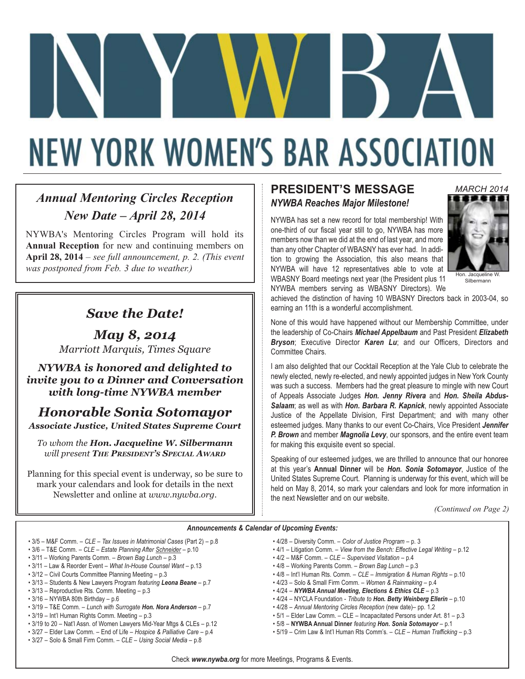# **NEW YORK WOMEN'S BAR ASSOCIATION**

### *Annual Mentoring Circles Reception New Date – April 28, 2014*

NYWBA's Mentoring Circles Program will hold its **Annual Reception** for new and continuing members on **April 28, 2014** – *see full announcement, p. 2. (This event was postponed from Feb. 3 due to weather.)* 

### *Save the Date!*

*May 8, 2014*

*Marriott Marquis, Times Square NYWBA is honored and delighted to invite you to a Dinner and Conversation with long-time NYWBA member*

# *Honorable Sonia Sotomayor*

*Associate Justice, United States Supreme Court*

*To whom the Hon. Jacqueline W. Silbermann will present THE PRESIDENT'S SPECIAL AWARD*

Planning for this special event is underway, so be sure to mark your calendars and look for details in the next Newsletter and online at *www.nywba.org*.

### **PRESIDENT'S MESSAGE** *NYWBA Reaches Major Milestone!*

NYWBA has set a new record for total membership! With one-third of our fiscal year still to go, NYWBA has more members now than we did at the end of last year, and more than any other Chapter of WBASNY has ever had. In addition to growing the Association, this also means that NYWBA will have 12 representatives able to vote at WBASNY Board meetings next year (the President plus 11 NYWBA members serving as WBASNY Directors). We



Hon. Jacqueline W. Silbermann

achieved the distinction of having 10 WBASNY Directors back in 2003-04, so earning an 11th is a wonderful accomplishment.

None of this would have happened without our Membership Committee, under the leadership of Co-Chairs *Michael Appelbaum* and Past President *Elizabeth Bryson*; Executive Director *Karen Lu*; and our Officers, Directors and Committee Chairs.

I am also delighted that our Cocktail Reception at the Yale Club to celebrate the newly elected, newly re-elected, and newly appointed judges in New York County was such a success. Members had the great pleasure to mingle with new Court of Appeals Associate Judges *Hon. Jenny Rivera* and *Hon. Sheila Abdus-Salaam*; as well as with *Hon. Barbara R. Kapnick*, newly appointed Associate Justice of the Appellate Division, First Department; and with many other esteemed judges. Many thanks to our event Co-Chairs, Vice President *Jennifer P. Brown* and member *Magnolia Levy*, our sponsors, and the entire event team for making this exquisite event so special.

Speaking of our esteemed judges, we are thrilled to announce that our honoree at this year's **Annual Dinner** will be *Hon. Sonia Sotomayor*, Justice of the United States Supreme Court. Planning is underway for this event, which will be held on May 8, 2014, so mark your calendars and look for more information in the next Newsletter and on our website.

*(Continued on Page 2)*

#### *Announcements & Calendar of Upcoming Events:*

- 3/5 M&F Comm. *CLE Tax Issues in Matrimonial Cases* (Part 2) p.8
- 3/6 T&E Comm. *CLE Estate Planning After Schneider* p.10
- 3/11 Working Parents Comm. *Brown Bag Lunch* p.3
- 3/11 Law & Reorder Event *What In-House Counsel Want* p.13
- 3/12 Civil Courts Committee Planning Meeting p.3
- 3/13 Students & New Lawyers Program *featuring Leona Beane* p.7
- 3/13 Reproductive Rts. Comm. Meeting p.3 • 3/16 – NYWBA 80th Birthday – p.6
- 3/19 T&E Comm. *Lunch with Surrogate Hon. Nora Anderson* p.7
- 3/19 Int'l Human Rights Comm. Meeting p.3
- 3/19 to 20 Nat'l Assn. of Women Lawyers Mid-Year Mtgs & CLEs p.12
- 3/27 Elder Law Comm. End of Life *Hospice & Palliative Care* p.4
- 3/27 Solo & Small Firm Comm. *CLE Using Social Media* p.8
- 4/28 Diversity Comm. *Color of Justice Program* p. 3
- 4/1 Litigation Comm. *View from the Bench: Effective Legal Writing* p.12
- 4/2 M&F Comm. *CLE Supervised Visitation* p.4
- 4/8 Working Parents Comm. *Brown Bag Lunch* p.3
- 4/8 Int'l Human Rts. Comm. *CLE Immigration & Human Rights* p.10
- 4/23 Solo & Small Firm Comm. *Women & Rainmaking* p.4
- 4/24 *NYWBA Annual Meeting, Elections & Ethics CLE* p.3
- 4/24 NYCLA Foundation *Tribute to Hon. Betty Weinberg Ellerin* p.10
- 4/28 *Annual Mentoring Circles Reception* (new date)– pp. 1,2
- 5/1 Elder Law Comm. CLE Incapacitated Persons under Art. 81 p.3
- 5/8 **NYWBA Annual Dinner** *featuring Hon. Sonia Sotomayor* p.1
- 5/19 Crim Law & Int'l Human Rts Comm's. *CLE Human Trafficking* p.3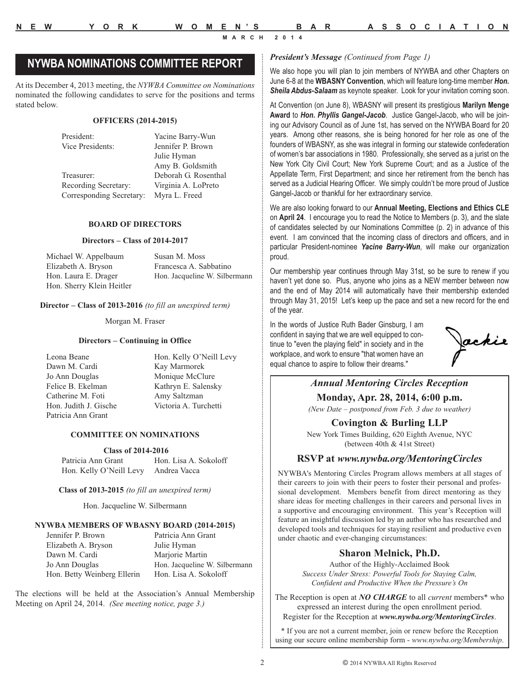### *President's Message (Continued from Page 1)* **NYWBA NOMINATIONS COMMITTEE REPORT**

At its December 4, 2013 meeting, the *NYWBA Committee on Nominations* nominated the following candidates to serve for the positions and terms stated below.

#### **OFFICERS (2014-2015)**

President: Yacine Barry-Wun Vice Presidents: Jennifer P. Brown Julie Hyman Amy B. Goldsmith Treasurer: Deborah G. Rosenthal Recording Secretary: Virginia A. LoPreto Corresponding Secretary: Myra L. Freed

#### **BOARD OF DIRECTORS**

#### **Directors – Class of 2014-2017**

Michael W. Appelbaum Susan M. Moss Elizabeth A. Bryson Francesca A. Sabbatino Hon. Laura E. Drager Hon. Jacqueline W. Silbermann Hon. Sherry Klein Heitler

#### **Director – Class of 2013-2016** *(to fill an unexpired term)*

Morgan M. Fraser

#### **Directors – Continuing in Office**

Dawn M. Cardi Kay Marmorek Jo Ann Douglas Monique McClure Felice B. Ekelman Kathryn E. Salensky Catherine M. Foti Amy Saltzman Hon. Judith J. Gische Victoria A. Turchetti Patricia Ann Grant

Leona Beane **Hon.** Kelly O'Neill Levy

#### **COMMITTEE ON NOMINATIONS**

#### **Class of 2014-2016**

Patricia Ann Grant Hon. Lisa A. Sokoloff Hon. Kelly O'Neill Levy Andrea Vacca

**Class of 2013-2015** *(to fill an unexpired term)*

Hon. Jacqueline W. Silbermann

#### **NYWBA MEMBERS OF WBASNY BOARD (2014-2015)**

| Patricia Ann Grant            |
|-------------------------------|
| Julie Hyman                   |
| Marjorie Martin               |
| Hon. Jacqueline W. Silbermann |
| Hon. Lisa A. Sokoloff         |
|                               |

The elections will be held at the Association's Annual Membership Meeting on April 24, 2014. *(See meeting notice, page 3.)*

We also hope you will plan to join members of NYWBA and other Chapters on June 6-8 at the **WBASNY Convention**, which will feature long-time member *Hon. Sheila Abdus-Salaam* as keynote speaker. Look for your invitation coming soon.

At Convention (on June 8), WBASNY will present its prestigious **Marilyn Menge Award** to *Hon. Phyllis Gangel-Jacob*. Justice Gangel-Jacob, who will be joining our Advisory Council as of June 1st, has served on the NYWBA Board for 20 years. Among other reasons, she is being honored for her role as one of the founders of WBASNY, as she was integral in forming our statewide confederation of women's bar associations in 1980. Professionally, she served as a jurist on the New York City Civil Court; New York Supreme Court; and as a Justice of the Appellate Term, First Department; and since her retirement from the bench has served as a Judicial Hearing Officer. We simply couldn't be more proud of Justice Gangel-Jacob or thankful for her extraordinary service.

We are also looking forward to our **Annual Meeting, Elections and Ethics CLE** on **April 24**. I encourage you to read the Notice to Members (p. 3), and the slate of candidates selected by our Nominations Committee (p. 2) in advance of this event. I am convinced that the incoming class of directors and officers, and in particular President-nominee *Yacine Barry-Wun*, will make our organization proud.

Our membership year continues through May 31st, so be sure to renew if you haven't yet done so. Plus, anyone who joins as a NEW member between now and the end of May 2014 will automatically have their membership extended through May 31, 2015! Let's keep up the pace and set a new record for the end of the year.

In the words of Justice Ruth Bader Ginsburg, I am confident in saying that we are well equipped to continue to "even the playing field" in society and in the workplace, and work to ensure "that women have an equal chance to aspire to follow their dreams."

Jackie

### *Annual Mentoring Circles Reception*

**Monday, Apr. 28, 2014, 6:00 p.m.** *(New Date – postponed from Feb. 3 due to weather)*

#### **Covington & Burling LLP**

New York Times Building, 620 Eighth Avenue, NYC (between 40th & 41st Street)

#### **RSVP at** *www.nywba.org/MentoringCircles*

NYWBA's Mentoring Circles Program allows members at all stages of their careers to join with their peers to foster their personal and professional development. Members benefit from direct mentoring as they share ideas for meeting challenges in their careers and personal lives in a supportive and encouraging environment. This year's Reception will feature an insightful discussion led by an author who has researched and developed tools and techniques for staying resilient and productive even under chaotic and ever-changing circumstances:

#### **Sharon Melnick, Ph.D.**

Author of the Highly-Acclaimed Book *Success Under Stress: Powerful Tools for Staying Calm, Confident and Productive When the Pressure's On*

The Reception is open at *NO CHARGE* to all *current* members\* who expressed an interest during the open enrollment period. Register for the Reception at *www.nywba.org/MentoringCircles*.

\* If you are not a current member, join or renew before the Reception using our secure online membership form - *www.nywba.org/Membership*.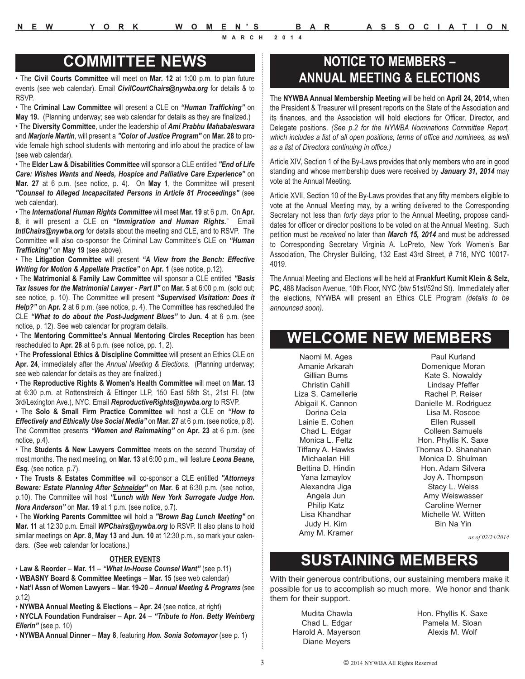### **COMMITTEE NEWS**

• The **Civil Courts Committee** will meet on **Mar. 12** at 1:00 p.m. to plan future events (see web calendar). Email *CivilCourtChairs@nywba.org* for details & to RSVP.

• The **Criminal Law Committee** will present a CLE on *"Human Trafficking"* on **May 19.** (Planning underway; see web calendar for details as they are finalized.)

• The **Diversity Committee**, under the leadership of *Ami Prabhu Mahabaleswara* and *Marjorie Martin*, will present a *"Color of Justice Program"* on **Mar. 28** to provide female high school students with mentoring and info about the practice of law (see web calendar).

• The **Elder Law & Disabilities Committee** will sponsor a CLE entitled *"End of Life Care: Wishes Wants and Needs, Hospice and Palliative Care Experience"* on **Mar. 27** at 6 p.m. (see notice, p. 4). On **May 1**, the Committee will present *"Counsel to Alleged Incapacitated Persons in Article 81 Proceedings"* (see web calendar).

• The *International Human Rights Committee* will meet **Mar. 19** at 6 p.m. On **Apr. 8**, it will present a CLE on *"Immigration and Human Rights.*" Email *IntlChairs@nywba.org* for details about the meeting and CLE, and to RSVP. The Committee will also co-sponsor the Criminal Law Committee's CLE on *"Human Trafficking"* on **May 19** (see above).

• The **Litigation Committee** will present *"A View from the Bench: Effective Writing for Motion & Appellate Practice"* on **Apr. 1** (see notice, p.12).

• The **Matrimonial & Family Law Committee** will sponsor a CLE entitled *"Basis Tax Issues for the Matrimonial Lawyer - Part II"* on **Mar. 5** at 6:00 p.m. (sold out; see notice, p. 10). The Committee will present *"Supervised Visitation: Does it Help?"* on **Apr. 2** at 6 p.m. (see notice, p. 4). The Committee has rescheduled the CLE *"What to do about the Post-Judgment Blues"* to **Jun. 4** at 6 p.m. (see notice, p. 12). See web calendar for program details.

• The **Mentoring Committee's Annual Mentoring Circles Reception** has been rescheduled to **Apr. 28** at 6 p.m. (see notice, pp. 1, 2).

• The **Professional Ethics & Discipline Committee** will present an Ethics CLE on **Apr. 24**, immediately after the *Annual Meeting & Elections*. (Planning underway; see web calendar for details as they are finalized.)

• The **Reproductive Rights & Women's Health Committee** will meet on **Mar. 13** at 6:30 p.m. at Rottenstreich & Ettinger LLP, 150 East 58th St., 21st Fl. (btw 3rd/Lexington Ave.), NYC. Email *ReproductiveRights@nywba.org* to RSVP.

• The **Solo & Small Firm Practice Committee** will host a CLE on *"How to Effectively and Ethically Use Social Media"* on **Mar. 27** at 6 p.m. (see notice, p.8). The Committee presents *"Women and Rainmaking"* on **Apr. 23** at 6 p.m. (see notice, p.4).

• The **Students & New Lawyers Committee** meets on the second Thursday of most months. The next meeting, on **Mar. 13** at 6:00 p.m., will feature *Leona Beane, Esq.* (see notice, p.7).

• The **Trusts & Estates Committee** will co-sponsor a CLE entitled *"Attorneys Beware: Estate Planning After Schneider"* on **Mar. 6** at 6:30 p.m. (see notice, p.10). The Committee will host *"Lunch with New York Surrogate Judge Hon. Nora Anderson"* on **Mar. 19** at 1 p.m. (see notice, p.7).

• The **Working Parents Committee** will hold a *"Brown Bag Lunch Meeting"* on **Mar. 11** at 12:30 p.m. Email *WPChairs@nywba.org* to RSVP. It also plans to hold similar meetings on **Apr. 8**, **May 13** and **Jun. 10** at 12:30 p.m., so mark your calendars. (See web calendar for locations.)

#### **OTHER EVENTS**

• **Law & Reorder** – **Mar. 11** – *"What In-House Counsel Want"* (see p.11)

- **WBASNY Board & Committee Meetings Mar. 15** (see web calendar)
- **Nat'l Assn of Women Lawyers Mar. 19-20**  *Annual Meeting & Programs* (see p.12)
- **NYWBA Annual Meeting & Elections Apr. 24** (see notice, at right)

• **NYCLA Foundation Fundraiser** – **Apr. 24** – *"Tribute to Hon. Betty Weinberg Ellerin"* (see p. 10)

• **NYWBA Annual Dinner** – **May 8**, featuring *Hon. Sonia Sotomayor* (see p. 1)

### **NOTICE TO MEMBERS – ANNUAL MEETING & ELECTIONS**

The **NYWBA Annual Membership Meeting** will be held on **April 24, 2014**, when the President & Treasurer will present reports on the State of the Association and its finances, and the Association will hold elections for Officer, Director, and Delegate positions. *(See p.2 for the NYWBA Nominations Committee Report, which includes a list of all open positions, terms of office and nominees, as well as a list of Directors continuing in office.)*

Article XIV, Section 1 of the By-Laws provides that only members who are in good standing and whose membership dues were received by *January 31, 2014* may vote at the Annual Meeting.

Article XVII, Section 10 of the By-Laws provides that any fifty members eligible to vote at the Annual Meeting may, by a writing delivered to the Corresponding Secretary not less than *forty days* prior to the Annual Meeting, propose candidates for officer or director positions to be voted on at the Annual Meeting. Such petition must be *received* no later than *March 15, 2014* and must be addressed to Corresponding Secretary Virginia A. LoPreto, New York Women's Bar Association, The Chrysler Building, 132 East 43rd Street, # 716, NYC 10017- 4019.

The Annual Meeting and Elections will be held at **Frankfurt Kurnit Klein & Selz, PC**, 488 Madison Avenue, 10th Floor, NYC (btw 51st/52nd St). Immediately after the elections, NYWBA will present an Ethics CLE Program *(details to be announced soon).*

### **WELCOME NEW MEMBERS**

Naomi M. Ages Amanie Arkarah Gillian Burns Christin Cahill Liza S. Camellerie Abigail K. Cannon Dorina Cela Lainie E. Cohen Chad L. Edgar Monica L. Feltz Tiffany A. Hawks Michaelan Hill Bettina D. Hindin Yana Izmaylov Alexandra Jiga Angela Jun Philip Katz Lisa Khandhar Judy H. Kim Amy M. Kramer

Paul Kurland Domenique Moran Kate S. Nowaldy Lindsay Pfeffer Rachel P. Reiser Danielle M. Rodriguez Lisa M. Roscoe Ellen Russell Colleen Samuels Hon. Phyllis K. Saxe Thomas D. Shanahan Monica D. Shulman Hon. Adam Silvera Joy A. Thompson Stacy L. Weiss Amy Weiswasser Caroline Werner Michelle W. Witten Bin Na Yin

*as of 02/24/2014*

# **SUSTAINING MEMBERS**

With their generous contributions, our sustaining members make it possible for us to accomplish so much more. We honor and thank them for their support.

Mudita Chawla Chad L. Edgar Harold A. Mayerson Diane Meyers

Hon. Phyllis K. Saxe Pamela M. Sloan Alexis M. Wolf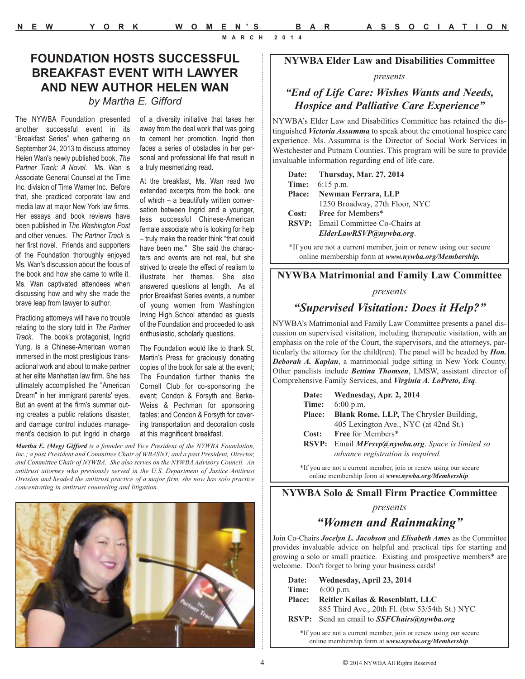#### **NYWBA Elder Law and Disabilities Committee**

#### *presents*

### *"End of Life Care: Wishes Wants and Needs, Hospice and Palliative Care Experience"*

NYWBA's Elder Law and Disabilities Committee has retained the distinguished *Victoria Assumma* to speak about the emotional hospice care experience. Ms. Assumma is the Director of Social Work Services in Westchester and Putnam Counties. This program will be sure to provide invaluable information regarding end of life care.

| Date: Thursday, Mar. 27, 2014             |
|-------------------------------------------|
| <b>Time:</b> $6:15 \text{ p.m.}$          |
| Place: Newman Ferrara, LLP                |
| 1250 Broadway, 27th Floor, NYC            |
| Cost: Free for Members*                   |
| <b>RSVP:</b> Email Committee Co-Chairs at |
| ElderLawRSVP@nywba.org.                   |

\*If you are not a current member, join or renew using our secure online membership form at *www.nywba.org/Membership.*

#### **NYWBA Matrimonial and Family Law Committee**

#### *presents*

### *"Supervised Visitation: Does it Help?"*

NYWBA's Matrimonial and Family Law Committee presents a panel discussion on supervised visitation, including therapeutic visitation, with an emphasis on the role of the Court, the supervisors, and the attorneys, particularly the attorney for the child(ren). The panel will be headed by *Hon. Deborah A. Kaplan*, a matrimonial judge sitting in New York County. Other panelists include *Bettina Thomsen*, LMSW, assistant director of Comprehensive Family Services, and *Virginia A. LoPreto, Esq*.

| Date:         | Wednesday, Apr. 2, 2014                             |
|---------------|-----------------------------------------------------|
| Time:         | $6:00$ p.m.                                         |
| <b>Place:</b> | Blank Rome, LLP, The Chrysler Building,             |
|               | 405 Lexington Ave., NYC (at 42nd St.)               |
| Cost:         | <b>Free for Members*</b>                            |
| <b>RSVP:</b>  | Email <b>MFrsvp@nywba.org</b> . Space is limited so |
|               | <i>advance registration is required.</i>            |
|               |                                                     |

\*If you are not a current member, join or renew using our secure online membership form at *www.nywba.org/Membership*.

### **NYWBA Solo & Small Firm Practice Committee**

*presents*

### *"Women and Rainmaking"*

Join Co-Chairs *Jocelyn L. Jacobson* and *Elisabeth Ames* as the Committee provides invaluable advice on helpful and practical tips for starting and growing a solo or small practice. Existing and prospective members\* are welcome. Don't forget to bring your business cards!

| Date:         | Wednesday, April 23, 2014                                   |
|---------------|-------------------------------------------------------------|
| Time:         | $6:00$ p.m.                                                 |
| <b>Place:</b> | Reitler Kailas & Rosenblatt, LLC                            |
|               | 885 Third Ave., 20th Fl. (btw 53/54th St.) NYC              |
|               | <b>RSVP:</b> Send an email to <b>SSF Chairs</b> @ nywba.org |
|               |                                                             |

\*If you are not a current member, join or renew using our secure online membership form at *www.nywba.org/Membership*.

### **FOUNDATION HOSTS SUCCESSFUL BREAKFAST EVENT WITH LAWYER AND NEW AUTHOR HELEN WAN**

### *by Martha E. Gifford*

The NYWBA Foundation presented another successful event in its "Breakfast Series" when gathering on September 24, 2013 to discuss attorney Helen Wan's newly published book, *The Partner Track: A Novel.* Ms. Wan is Associate General Counsel at the Time Inc. division of Time Warner Inc. Before that, she practiced corporate law and media law at major New York law firms. Her essays and book reviews have been published in *The Washington Post* and other venues. *The Partner Track* is her first novel. Friends and supporters of the Foundation thoroughly enjoyed Ms. Wan's discussion about the focus of the book and how she came to write it. Ms. Wan captivated attendees when discussing how and why she made the brave leap from lawyer to author.

Practicing attorneys will have no trouble relating to the story told in *The Partner Track*. The book's protagonist, Ingrid Yung, is a Chinese-American woman immersed in the most prestigious transactional work and about to make partner at her elite Manhattan law firm. She has ultimately accomplished the "American Dream" in her immigrant parents' eyes. But an event at the firm's summer outing creates a public relations disaster, and damage control includes management's decision to put Ingrid in charge of a diversity initiative that takes her away from the deal work that was going to cement her promotion. Ingrid then faces a series of obstacles in her personal and professional life that result in a truly mesmerizing read.

At the breakfast, Ms. Wan read two extended excerpts from the book, one of which – a beautifully written conversation between Ingrid and a younger, less successful Chinese-American female associate who is looking for help – truly make the reader think "that could have been me." She said the characters and events are not real, but she strived to create the effect of realism to illustrate her themes. She also answered questions at length. As at prior Breakfast Series events, a number of young women from Washington Irving High School attended as guests of the Foundation and proceeded to ask enthusiastic, scholarly questions.

The Foundation would like to thank St. Martin's Press for graciously donating copies of the book for sale at the event; The Foundation further thanks the Cornell Club for co-sponsoring the event; Condon & Forsyth and Berke-Weiss & Pechman for sponsoring tables; and Condon & Forsyth for covering transportation and decoration costs at this magnificent breakfast.

*Martha E. (Meg) Gifford is a founder and Vice President of the NYWBA Foundation, Inc.; a past President and Committee Chair of WBASNY; and a past President, Director, and Committee Chair of NYWBA. She also serves on the NYWBA Advisory Council. An antitrust attorney who previously served in the U.S. Department of Justice Antitrust Division and headed the antitrust practice of a major firm, she now has solo practice concentrating in antitrust counseling and litigation.*

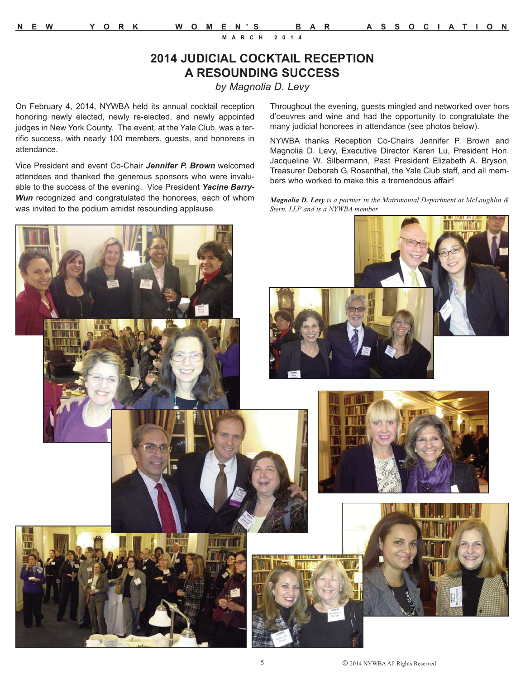### **2014 JUDICIAL COCKTAIL RECEPTION A RESOUNDING SUCCESS**

*by Magnolia D. Levy*

On February 4, 2014, NYWBA held its annual cocktail reception honoring newly elected, newly re-elected, and newly appointed judges in New York County. The event, at the Yale Club, was a terrific success, with nearly 100 members, guests, and honorees in attendance.

Vice President and event Co-Chair *Jennifer P. Brown* welcomed attendees and thanked the generous sponsors who were invaluable to the success of the evening. Vice President *Yacine Barry-Wun* recognized and congratulated the honorees, each of whom was invited to the podium amidst resounding applause.

Throughout the evening, guests mingled and networked over hors d'oeuvres and wine and had the opportunity to congratulate the many judicial honorees in attendance (see photos below).

NYWBA thanks Reception Co-Chairs Jennifer P. Brown and Magnolia D. Levy, Executive Director Karen Lu, President Hon. Jacqueline W. Silbermann, Past President Elizabeth A. Bryson, Treasurer Deborah G. Rosenthal, the Yale Club staff, and all members who worked to make this a tremendous affair!

*Magnolia D. Levy is a partner in the Matrimonial Department at McLaughlin & Stern, LLP and is a NYWBA member.* 

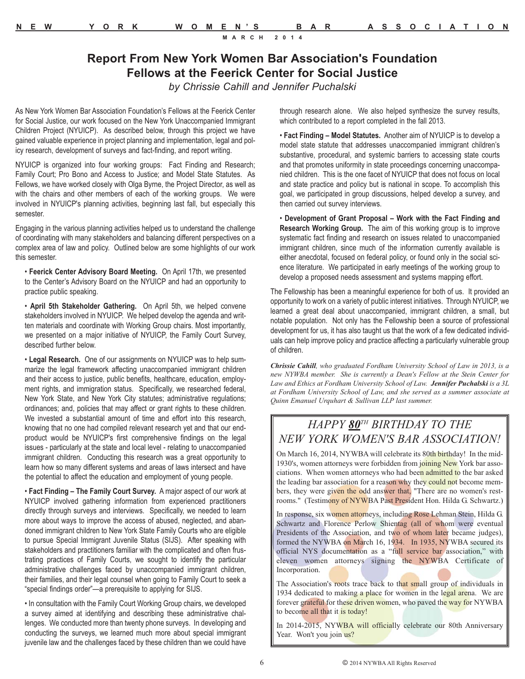### **Report From New York Women Bar Association's Foundation Fellows at the Feerick Center for Social Justice**

*by Chrissie Cahill and Jennifer Puchalski*

As New York Women Bar Association Foundation's Fellows at the Feerick Center for Social Justice, our work focused on the New York Unaccompanied Immigrant Children Project (NYUICP). As described below, through this project we have gained valuable experience in project planning and implementation, legal and policy research, development of surveys and fact-finding, and report writing.

NYUICP is organized into four working groups: Fact Finding and Research; Family Court; Pro Bono and Access to Justice; and Model State Statutes. As Fellows, we have worked closely with Olga Byrne, the Project Director, as well as with the chairs and other members of each of the working groups. We were involved in NYUICP's planning activities, beginning last fall, but especially this semester.

Engaging in the various planning activities helped us to understand the challenge of coordinating with many stakeholders and balancing different perspectives on a complex area of law and policy. Outlined below are some highlights of our work this semester.

• **Feerick Center Advisory Board Meeting.** On April 17th, we presented to the Center's Advisory Board on the NYUICP and had an opportunity to practice public speaking.

• **April 5th Stakeholder Gathering.** On April 5th, we helped convene stakeholders involved in NYUICP. We helped develop the agenda and written materials and coordinate with Working Group chairs. Most importantly, we presented on a major initiative of NYUICP, the Family Court Survey, described further below.

• **Legal Research.** One of our assignments on NYUICP was to help summarize the legal framework affecting unaccompanied immigrant children and their access to justice, public benefits, healthcare, education, employment rights, and immigration status. Specifically, we researched federal, New York State, and New York City statutes; administrative regulations; ordinances; and, policies that may affect or grant rights to these children. We invested a substantial amount of time and effort into this research, knowing that no one had compiled relevant research yet and that our endproduct would be NYUICP's first comprehensive findings on the legal issues - particularly at the state and local level - relating to unaccompanied immigrant children. Conducting this research was a great opportunity to learn how so many different systems and areas of laws intersect and have the potential to affect the education and employment of young people.

• **Fact Finding – The Family Court Survey.** A major aspect of our work at NYUICP involved gathering information from experienced practitioners directly through surveys and interviews. Specifically, we needed to learn more about ways to improve the access of abused, neglected, and abandoned immigrant children to New York State Family Courts who are eligible to pursue Special Immigrant Juvenile Status (SIJS). After speaking with stakeholders and practitioners familiar with the complicated and often frustrating practices of Family Courts, we sought to identify the particular administrative challenges faced by unaccompanied immigrant children, their families, and their legal counsel when going to Family Court to seek a "special findings order"—a prerequisite to applying for SIJS.

• In consultation with the Family Court Working Group chairs, we developed a survey aimed at identifying and describing these administrative challenges. We conducted more than twenty phone surveys. In developing and conducting the surveys, we learned much more about special immigrant juvenile law and the challenges faced by these children than we could have through research alone. We also helped synthesize the survey results, which contributed to a report completed in the fall 2013.

• **Fact Finding – Model Statutes.** Another aim of NYUICP is to develop a model state statute that addresses unaccompanied immigrant children's substantive, procedural, and systemic barriers to accessing state courts and that promotes uniformity in state proceedings concerning unaccompanied children. This is the one facet of NYUICP that does not focus on local and state practice and policy but is national in scope. To accomplish this goal, we participated in group discussions, helped develop a survey, and then carried out survey interviews.

• **Development of Grant Proposal – Work with the Fact Finding and Research Working Group.** The aim of this working group is to improve systematic fact finding and research on issues related to unaccompanied immigrant children, since much of the information currently available is either anecdotal, focused on federal policy, or found only in the social science literature. We participated in early meetings of the working group to develop a proposed needs assessment and systems mapping effort.

The Fellowship has been a meaningful experience for both of us. It provided an opportunity to work on a variety of public interest initiatives. Through NYUICP, we learned a great deal about unaccompanied, immigrant children, a small, but notable population. Not only has the Fellowship been a source of professional development for us, it has also taught us that the work of a few dedicated individuals can help improve policy and practice affecting a particularly vulnerable group of children.

*Chrissie Cahill, who graduated Fordham University School of Law in 2013, is a new NYWBA member. She is currently a Dean's Fellow at the Stein Center for Law and Ethics at Fordham University School of Law. Jennifer Puchalski is a 3L at Fordham University School of Law, and she served as a summer associate at Quinn Emanuel Urquhart & Sullivan LLP last summer.*

### *HAPPY 80TH BIRTHDAY TO THE NEW YORK WOMEN'S BAR ASSOCIATION!*

On March 16, 2014, NYWBA will celebrate its 80th birthday! In the mid-1930's, women attorneys were forbidden from joining New York bar associations. When women attorneys who had been admitted to the bar asked the leading bar association for a reason why they could not become members, they were given the odd answer that, "There are no women's restrooms." (Testimony of NYWBA Past President Hon. Hilda G. Schwartz.)

In response, six women attorneys, including Rose Lehman Stein, Hilda G. Schwartz and Florence Perlow Shientag (all of whom were eventual Presidents of the Association, and two of whom later became judges), formed the NYWBA on March 16, 1934. In 1935, NYWBA secured its official NYS documentation as a "full service bar association," with eleven women attorneys signing the NYWBA Certificate of Incorporation.

The Association's roots trace back to that small group of individuals in 1934 dedicated to making a place for women in the legal arena. We are forever grateful for these driven women, who paved the way for NYWBA to become all that it is today!

In 2014-2015, NYWBA will officially celebrate our 80th Anniversary Year. Won't you join us?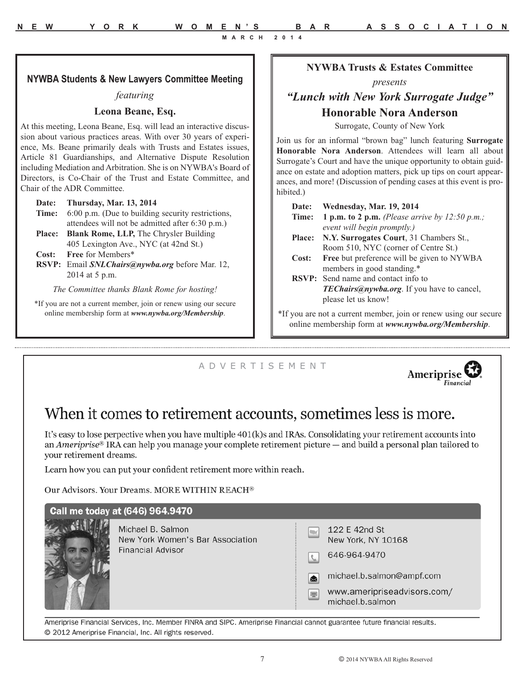#### **NYWBA Students & New Lawyers Committee Meeting**

#### *featuring*

#### **Leona Beane, Esq.**

At this meeting, Leona Beane, Esq. will lead an interactive discussion about various practices areas. With over 30 years of experience, Ms. Beane primarily deals with Trusts and Estates issues, Article 81 Guardianships, and Alternative Dispute Resolution including Mediation and Arbitration. She is on NYWBA's Board of Directors, is Co-Chair of the Trust and Estate Committee, and Chair of the ADR Committee.

#### **Date: Thursday, Mar. 13, 2014**

- **Time:** 6:00 p.m. (Due to building security restrictions, attendees will not be admitted after 6:30 p.m.)
- Place: Blank Rome, LLP, The Chrysler Building 405 Lexington Ave., NYC (at 42nd St.)

**Cost: Free** for Members\*

**RSVP:** Email *SNLChairs@nywba.org* before Mar. 12, 2014 at 5 p.m.

*The Committee thanks Blank Rome for hosting!*

\*If you are not a current member, join or renew using our secure online membership form at *www.nywba.org/Membership*.

#### **NYWBA Trusts & Estates Committee**

#### *presents*

### *"Lunch with New York Surrogate Judge"*  **Honorable Nora Anderson**

Surrogate, County of New York

Join us for an informal "brown bag" lunch featuring **Surrogate Honorable Nora Anderson**. Attendees will learn all about Surrogate's Court and have the unique opportunity to obtain guidance on estate and adoption matters, pick up tips on court appearances, and more! (Discussion of pending cases at this event is prohibited.)

| Date:         | Wednesday, Mar. 19, 2014                                         |
|---------------|------------------------------------------------------------------|
| Time:         | 1 p.m. to 2 p.m. (Please arrive by $12:50$ p.m.;                 |
|               | event will begin promptly.)                                      |
| <b>Place:</b> | N.Y. Surrogates Court, 31 Chambers St.,                          |
|               | Room 510, NYC (corner of Centre St.)                             |
| Cost:         | Free but preference will be given to NYWBA                       |
|               | members in good standing.*                                       |
|               | <b>RSVP:</b> Send name and contact info to                       |
|               | <b>TEChairs</b> (anywba.org. If you have to cancel,              |
|               | please let us know!                                              |
|               | *If you are not a current member, join or renew using our secure |

online membership form at *www.nywba.org/Membership*.

### A D V E R T I S E M E N T



# When it comes to retirement accounts, sometimes less is more.

It's easy to lose perpective when you have multiple 401(k)s and IRAs. Consolidating your retirement accounts into an Ameriprise® IRA can help you manage your complete retirement picture — and build a personal plan tailored to vour retirement dreams.

Learn how you can put your confident retirement more within reach.

Our Advisors. Your Dreams. MORE WITHIN REACH®

### Call me today at (646) 964.9470



Michael B. Salmon New York Women's Bar Association **Financial Advisor** 

|                         | 122 E 42nd St<br>New York, NY 10168 |
|-------------------------|-------------------------------------|
| $\lfloor \zeta \rfloor$ | 646-964-9470                        |
| $ \mathbf{z} $          | michael.b.salmon@ampf               |
|                         | www.ameripriseadvisor               |

s.com/ michael.b.salmon

.com

Ameriprise Financial Services, Inc. Member FINRA and SIPC. Ameriprise Financial cannot guarantee future financial results. @ 2012 Ameriprise Financial, Inc. All rights reserved.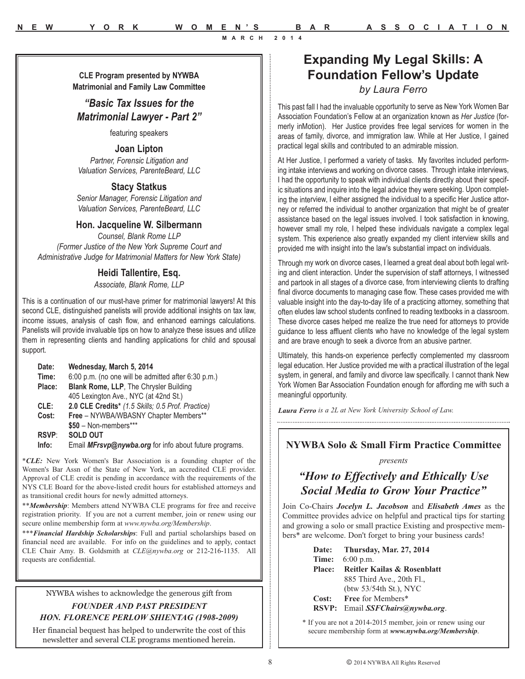**Expanding My Legal Skills: A Foundation Fellow's Update** *by Laura Ferro*

> This past fall I had the invaluable opportunity to serve as New York Women Bar Association Foundation's Fellow at an organization known as *Her Justice* (formerly inMotion). Her Justice provides free legal services for women in the areas of family, divorce, and immigration law. While at Her Justice, I gained practical legal skills and contributed to an admirable mission.

> At Her Justice, I performed a variety of tasks. My favorites included performing intake interviews and working on divorce cases. Through intake interviews, I had the opportunity to speak with individual clients directly about their specific situations and inquire into the legal advice they were seeking. Upon completing the interview, I either assigned the individual to a specific Her Justice attorney or referred the individual to another organization that might be of greater assistance based on the legal issues involved. I took satisfaction in knowing, however small my role, I helped these individuals navigate a complex legal system. This experience also greatly expanded my client interview skills and provided me with insight into the law's substantial impact on individuals.

> Through my work on divorce cases, I learned a great deal about both legal writing and client interaction. Under the supervision of staff attorneys, I witnessed and partook in all stages of a divorce case, from interviewing clients to drafting final divorce documents to managing case flow. These cases provided me with valuable insight into the day-to-day life of a practicing attorney, something that often eludes law school students confined to reading textbooks in a classroom. These divorce cases helped me realize the true need for attorneys to provide guidance to less affluent clients who have no knowledge of the legal system and are brave enough to seek a divorce from an abusive partner.

> Ultimately, this hands-on experience perfectly complemented my classroom legal education. Her Justice provided me with a practical illustration of the legal system, in general, and family and divorce law specifically. I cannot thank New York Women Bar Association Foundation enough for affording me with such a meaningful opportunity.

*Laura Ferro is a 2L at New York University School of Law.* 

### **NYWBA Solo & Small Firm Practice Committee**

*presents*

### *"How to Effectively and Ethically Use Social Media to Grow Your Practice"*

Join Co-Chairs *Jocelyn L. Jacobson* and *Elisabeth Ames* as the Committee provides advice on helpful and practical tips for starting and growing a solo or small practice Existing and prospective members\* are welcome. Don't forget to bring your business cards!

|       | Date: Thursday, Mar. 27, 2014      |
|-------|------------------------------------|
| Time: | $6:00$ p.m.                        |
|       | Place: Reitler Kailas & Rosenblatt |
|       | 885 Third Ave., 20th Fl.,          |
|       | (btw $53/54$ th St.), NYC          |
| Cost: | Free for Members*                  |
|       | RSVP: Email SSFChairs@nywba.org.   |

\* If you are not a 2014-2015 member, join or renew using our secure membership form at *www.nywba.org/Membership*.

**CLE Program presented by NYWBA Matrimonial and Family Law Committee**

*"Basic Tax Issues for the Matrimonial Lawyer - Part 2"*

featuring speakers

**Joan Lipton** 

*Partner, Forensic Litigation and Valuation Services, ParenteBeard, LLC*

### **Stacy Statkus**

*Senior Manager, Forensic Litigation and Valuation Services, ParenteBeard, LLC*

#### **Hon. Jacqueline W. Silbermann**

*Counsel, Blank Rome LLP (Former Justice of the New York Supreme Court and Administrative Judge for Matrimonial Matters for New York State)* 

### **Heidi Tallentire, Esq.**

*Associate, Blank Rome, LLP* 

This is a continuation of our must-have primer for matrimonial lawyers! At this second CLE, distinguished panelists will provide additional insights on tax law, income issues, analysis of cash flow, and enhanced earnings calculations. Panelists will provide invaluable tips on how to analyze these issues and utilize them in representing clients and handling applications for child and spousal support.

| Date:        | Wednesday, March 5, 2014                               |
|--------------|--------------------------------------------------------|
| Time:        | 6:00 p.m. (no one will be admitted after 6:30 p.m.)    |
| Place:       | <b>Blank Rome, LLP, The Chrysler Building</b>          |
|              | 405 Lexington Ave., NYC (at 42nd St.)                  |
| CLE:         | 2.0 CLE Credits* (1.5 Skills; 0.5 Prof. Practice)      |
| Cost:        | Free - NYWBA/WBASNY Chapter Members**                  |
|              | $$50 - Non-members***$                                 |
| <b>RSVP:</b> | <b>SOLD OUT</b>                                        |
| Info:        | Email MFrsvp@nywba.org for info about future programs. |
|              |                                                        |

\**CLE:* New York Women's Bar Association is a founding chapter of the Women's Bar Assn of the State of New York, an accredited CLE provider. Approval of CLE credit is pending in accordance with the requirements of the NYS CLE Board for the above-listed credit hours for established attorneys and as transitional credit hours for newly admitted attorneys.

\*\**Membership*: Members attend NYWBA CLE programs for free and receive registration priority. If you are not a current member, join or renew using our secure online membership form at *www.nywba.org/Membership*.

\*\*\**Financial Hardship Scholarships*: Full and partial scholarships based on financial need are available. For info on the guidelines and to apply, contact CLE Chair Amy. B. Goldsmith at *CLE@nywba.org* or 212-216-1135. All requests are confidential.

NYWBA wishes to acknowledge the generous gift from

### *FOUNDER AND PAST PRESIDENT HON. FLORENCE PERLOW SHIENTAG (1908-2009)*

Her financial bequest has helped to underwrite the cost of this newsletter and several CLE programs mentioned herein.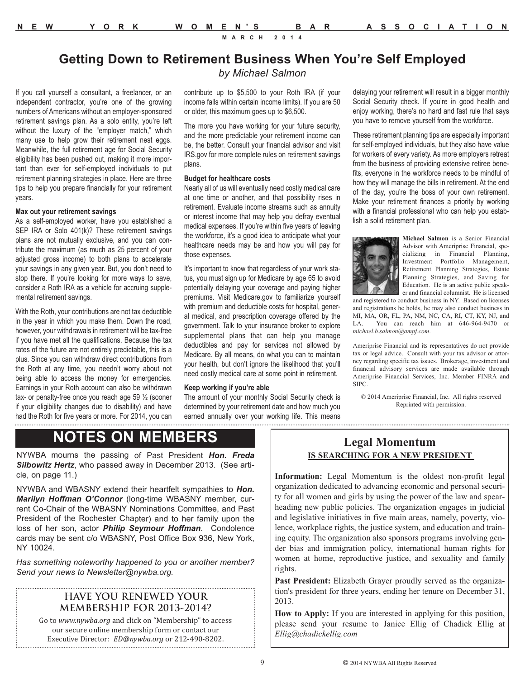### **Getting Down to Retirement Business When You're Self Employed** *by Michael Salmon*

If you call yourself a consultant, a freelancer, or an independent contractor, you're one of the growing numbers of Americans without an employer-sponsored retirement savings plan. As a solo entity, you're left without the luxury of the "employer match," which many use to help grow their retirement nest eggs. Meanwhile, the full retirement age for Social Security eligibility has been pushed out, making it more important than ever for self-employed individuals to put retirement planning strategies in place. Here are three tips to help you prepare financially for your retirement years.

#### **Max out your retirement savings**

As a self-employed worker, have you established a SEP IRA or Solo 401(k)? These retirement savings plans are not mutually exclusive, and you can contribute the maximum (as much as 25 percent of your adjusted gross income) to both plans to accelerate your savings in any given year. But, you don't need to stop there. If you're looking for more ways to save, consider a Roth IRA as a vehicle for accruing supplemental retirement savings.

With the Roth, your contributions are not tax deductible in the year in which you make them. Down the road, however, your withdrawals in retirement will be tax-free if you have met all the qualifications. Because the tax rates of the future are not entirely predictable, this is a plus. Since you can withdraw direct contributions from the Roth at any time, you needn't worry about not being able to access the money for emergencies. Earnings in your Roth account can also be withdrawn tax- or penalty-free once you reach age 59 ½ (sooner if your eligibility changes due to disability) and have had the Roth for five years or more. For 2014, you can contribute up to \$5,500 to your Roth IRA (if your income falls within certain income limits). If you are 50 or older, this maximum goes up to \$6,500.

The more you have working for your future security, and the more predictable your retirement income can be, the better. Consult your financial advisor and visit IRS.gov for more complete rules on retirement savings plans.

#### **Budget for healthcare costs**

Nearly all of us will eventually need costly medical care at one time or another, and that possibility rises in retirement. Evaluate income streams such as annuity or interest income that may help you defray eventual medical expenses. If you're within five years of leaving the workforce, it's a good idea to anticipate what your healthcare needs may be and how you will pay for those expenses.

It's important to know that regardless of your work status, you must sign up for Medicare by age 65 to avoid potentially delaying your coverage and paying higher premiums. Visit Medicare.gov to familiarize yourself with premium and deductible costs for hospital, general medical, and prescription coverage offered by the government. Talk to your insurance broker to explore supplemental plans that can help you manage deductibles and pay for services not allowed by Medicare. By all means, do what you can to maintain your health, but don't ignore the likelihood that you'll need costly medical care at some point in retirement.

#### **Keep working if you're able**

The amount of your monthly Social Security check is determined by your retirement date and how much you earned annually over your working life. This means delaying your retirement will result in a bigger monthly Social Security check. If you're in good health and enjoy working, there's no hard and fast rule that says you have to remove yourself from the workforce.

These retirement planning tips are especially important for self-employed individuals, but they also have value for workers of every variety. As more employers retreat from the business of providing extensive retiree benefits, everyone in the workforce needs to be mindful of how they will manage the bills in retirement. At the end of the day, you're the boss of your own retirement. Make your retirement finances a priority by working with a financial professional who can help you establish a solid retirement plan.



**Michael Salmon** is a Senior Financial Advisor with Ameriprise Financial, specializing in Financial Planning, Investment Portfolio Management, Retirement Planning Strategies, Estate Planning Strategies, and Saving for Education. He is an active public speaker and financial columnist. He is licensed

and registered to conduct business in NY. Based on licenses and registrations he holds, he may also conduct business in MI, MA, OR, FL, PA, NM, NC, CA, RI, CT, KY, NJ, and LA. You can reach him at 646-964-9470 or *michael.b.salmon@ampf.com*.

Ameriprise Financial and its representatives do not provide tax or legal advice. Consult with your tax advisor or attorney regarding specific tax issues. Brokerage, investment and financial advisory services are made available through Ameriprise Financial Services, Inc. Member FINRA and SIPC.

© 2014 Ameriprise Financial, Inc. All rights reserved Reprinted with permission.

### **NOTES ON MEMBERS**

NYWBA mourns the passing of Past President *Hon. Freda Silbowitz Hertz*, who passed away in December 2013. (See article, on page 11.)

NYWBA and WBASNY extend their heartfelt sympathies to *Hon. Marilyn Hoffman O'Connor* (long-time WBASNY member, current Co-Chair of the WBASNY Nominations Committee, and Past President of the Rochester Chapter) and to her family upon the loss of her son, actor *Philip Seymour Hoffman*. Condolence cards may be sent c/o WBASNY, Post Office Box 936, New York, NY 10024.

*Has something noteworthy happened to you or another member? Send your news to Newsletter@nywba.org.*

### **HAVE YOU RENEWED YOUR MEMBERSHIP FOR 2013-2014?**

Go to *www.nywba.org* and click on "Membership" to access our secure online membership form or contact our Executive Director: *ED@nywba.org* or 212-490-8202.

### **Legal Momentum IS SEARCHING FOR A NEW PRESIDENT**

**Information:** Legal Momentum is the oldest non-profit legal organization dedicated to advancing economic and personal security for all women and girls by using the power of the law and spearheading new public policies. The organization engages in judicial and legislative initiatives in five main areas, namely, poverty, violence, workplace rights, the justice system, and education and training equity. The organization also sponsors programs involving gender bias and immigration policy, international human rights for women at home, reproductive justice, and sexuality and family rights.

**Past President:** Elizabeth Grayer proudly served as the organization's president for three years, ending her tenure on December 31, 2013.

**How to Apply:** If you are interested in applying for this position, please send your resume to Janice Ellig of Chadick Ellig at *Ellig@chadickellig.com*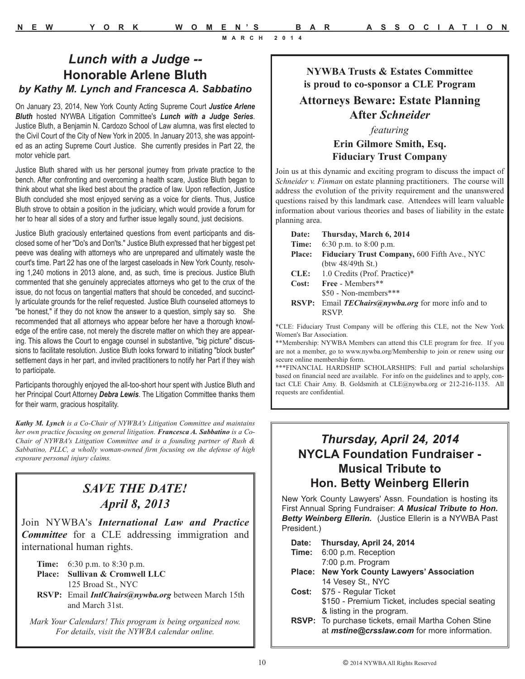### **NYWBA Trusts & Estates Committee is proud to co-sponsor a CLE Program**

### **Attorneys Beware: Estate Planning After** *Schneider*

### *featuring*

**Erin Gilmore Smith, Esq. Fiduciary Trust Company** 

Join us at this dynamic and exciting program to discuss the impact of *Schneider v. Finman* on estate planning practitioners. The course will address the evolution of the privity requirement and the unanswered questions raised by this landmark case. Attendees will learn valuable information about various theories and bases of liability in the estate planning area.

| Date:         | Thursday, March 6, 2014                               |
|---------------|-------------------------------------------------------|
| Time:         | 6:30 p.m. to $8:00$ p.m.                              |
| <b>Place:</b> | Fiduciary Trust Company, 600 Fifth Ave., NYC          |
|               | $(b$ tw 48/49th St.)                                  |
| CLE:          | 1.0 Credits (Prof. Practice)*                         |
| Cost:         | Free - Members**                                      |
|               | \$50 - Non-members***                                 |
| <b>RSVP:</b>  | Email <b>TEChairs</b> @nywba.org for more info and to |
|               | <b>RSVP</b>                                           |
|               |                                                       |

\*CLE: Fiduciary Trust Company will be offering this CLE, not the New York Women's Bar Association.

\*\*Membership: NYWBA Members can attend this CLE program for free. If you are not a member, go to www.nywba.org/Membership to join or renew using our secure online membership form.

\*\*\*FINANCIAL HARDSHIP SCHOLARSHIPS: Full and partial scholarships based on financial need are available. For info on the guidelines and to apply, contact CLE Chair Amy. B. Goldsmith at CLE@nywba.org or 212-216-1135. All requests are confidential.

### *Thursday, April 24, 2014* **NYCLA Foundation Fundraiser - Musical Tribute to Hon. Betty Weinberg Ellerin**

New York County Lawyers' Assn. Foundation is hosting its First Annual Spring Fundraiser: *A Musical Tribute to Hon. Betty Weinberg Ellerin.* (Justice Ellerin is a NYWBA Past President.)

| Date: Thursday, April 24, 2014                                                                                   |
|------------------------------------------------------------------------------------------------------------------|
| <b>Time:</b> 6:00 p.m. Reception                                                                                 |
| 7:00 p.m. Program                                                                                                |
| Place: New York County Lawyers' Association                                                                      |
| 14 Vesey St., NYC                                                                                                |
| Cost: \$75 - Regular Ticket                                                                                      |
| \$150 - Premium Ticket, includes special seating                                                                 |
| & listing in the program.                                                                                        |
| <b>RSVP:</b> To purchase tickets, email Martha Cohen Stine<br>at <i>mstine@crsslaw.com</i> for more information. |

*Lunch with a Judge --*  **Honorable Arlene Bluth** *by Kathy M. Lynch and Francesca A. Sabbatino*

On January 23, 2014, New York County Acting Supreme Court *Justice Arlene Bluth* hosted NYWBA Litigation Committee's *Lunch with a Judge Series*. Justice Bluth, a Benjamin N. Cardozo School of Law alumna, was first elected to the Civil Court of the City of New York in 2005. In January 2013, she was appointed as an acting Supreme Court Justice. She currently presides in Part 22, the motor vehicle part.

Justice Bluth shared with us her personal journey from private practice to the bench. After confronting and overcoming a health scare, Justice Bluth began to think about what she liked best about the practice of law. Upon reflection, Justice Bluth concluded she most enjoyed serving as a voice for clients. Thus, Justice Bluth strove to obtain a position in the judiciary, which would provide a forum for her to hear all sides of a story and further issue legally sound, just decisions.

Justice Bluth graciously entertained questions from event participants and disclosed some of her "Do's and Don'ts." Justice Bluth expressed that her biggest pet peeve was dealing with attorneys who are unprepared and ultimately waste the court's time. Part 22 has one of the largest caseloads in New York County, resolving 1,240 motions in 2013 alone, and, as such, time is precious. Justice Bluth commented that she genuinely appreciates attorneys who get to the crux of the issue, do not focus on tangential matters that should be conceded, and succinctly articulate grounds for the relief requested. Justice Bluth counseled attorneys to "be honest," if they do not know the answer to a question, simply say so. She recommended that all attorneys who appear before her have a thorough knowledge of the entire case, not merely the discrete matter on which they are appearing. This allows the Court to engage counsel in substantive, "big picture" discussions to facilitate resolution. Justice Bluth looks forward to initiating "block buster" settlement days in her part, and invited practitioners to notify her Part if they wish to participate.

Participants thoroughly enjoyed the all-too-short hour spent with Justice Bluth and her Principal Court Attorney *Debra Lewis*. The Litigation Committee thanks them for their warm, gracious hospitality.

*Kathy M. Lynch is a Co-Chair of NYWBA's Litigation Committee and maintains her own practice focusing on general litigation. Francesca A. Sabbatino is a Co-Chair of NYWBA's Litigation Committee and is a founding partner of Rush & Sabbatino, PLLC, a wholly woman-owned firm focusing on the defense of high exposure personal injury claims.* 

### *SAVE THE DATE! April 8, 2013*

Join NYWBA's *International Law and Practice Committee* for a CLE addressing immigration and international human rights.

| <b>Time:</b> $6:30 \text{ p.m.}$ to $8:30 \text{ p.m.}$ |
|---------------------------------------------------------|
| Place: Sullivan & Cromwell LLC                          |
| 125 Broad St., NYC                                      |

**RSVP:** Email *IntlChairs@nywba.org* between March 15th and March 31st.

*Mark Your Calendars! This program is being organized now. For details, visit the NYWBA calendar online.*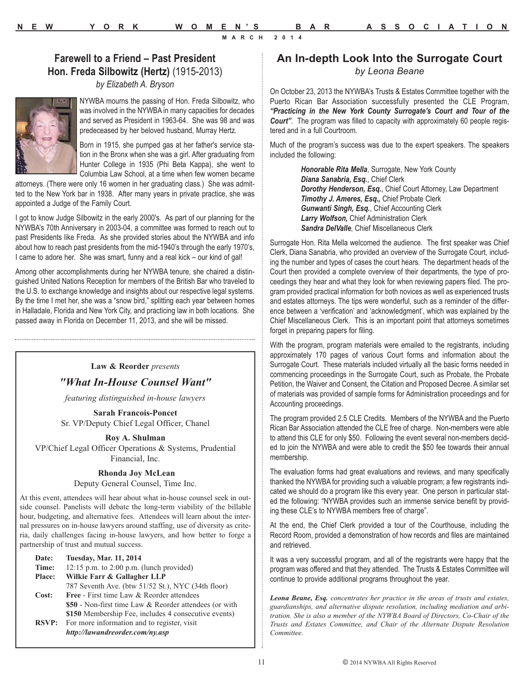### **Farewell to a Friend – Past President Hon. Freda Silbowitz (Hertz)** (1915-2013)

*by Elizabeth A. Bryson*



NYWBA mourns the passing of Hon. Freda Silbowitz, who was involved in the NYWBA in many capacities for decades and served as President in 1963-64. She was 98 and was predeceased by her beloved husband, Murray Hertz.

Born in 1915, she pumped gas at her father's service station in the Bronx when she was a girl. After graduating from Hunter College in 1935 (Phi Beta Kappa), she went to Columbia Law School, at a time when few women became

attorneys. (There were only 16 women in her graduating class.) She was admitted to the New York bar in 1938. After many years in private practice, she was appointed a Judge of the Family Court.

I got to know Judge Silbowitz in the early 2000's. As part of our planning for the NYWBA's 70th Anniversary in 2003-04, a committee was formed to reach out to past Presidents like Freda. As she provided stories about the NYWBA and info about how to reach past presidents from the mid-1940's through the early 1970's, I came to adore her. She was smart, funny and a real kick – our kind of gal!

Among other accomplishments during her NYWBA tenure, she chaired a distinguished United Nations Reception for members of the British Bar who traveled to the U.S. to exchange knowledge and insights about our respective legal systems. By the time I met her, she was a "snow bird," splitting each year between homes in Halladale, Florida and New York City, and practicing law in both locations. She passed away in Florida on December 11, 2013, and she will be missed.

#### **Law & Reorder** *presents*

*"What In-House Counsel Want"* 

*featuring distinguished in-house lawyers*

**Sarah Francois-Poncet** Sr. VP/Deputy Chief Legal Officer, Chanel

**Roy A. Shulman** VP/Chief Legal Officer Operations & Systems, Prudential

Financial, Inc.

#### **Rhonda Joy McLean**

Deputy General Counsel, Time Inc.

At this event, attendees will hear about what in-house counsel seek in outside counsel. Panelists will debate the long-term viability of the billable hour, budgeting, and alternative fees. Attendees will learn about the internal pressures on in-house lawyers around staffing, use of diversity as criteria, daily challenges facing in-house lawyers, and how better to forge a partnership of trust and mutual success.

| Date:         | <b>Tuesday, Mar. 11, 2014</b>                            |
|---------------|----------------------------------------------------------|
| Time:         | 12:15 p.m. to $2:00$ p.m. (lunch provided)               |
| <b>Place:</b> | Wilkie Farr & Gallagher LLP                              |
|               | 787 Seventh Ave. (btw 51/52 St.), NYC (34th floor)       |
| Cost:         | <b>Free - First time Law &amp; Reorder attendees</b>     |
|               | \$50 - Non-first time Law & Reorder attendees (or with   |
|               | \$150 Membership Fee, includes 4 consecutive events)     |
|               | <b>RSVP:</b> For more information and to register, visit |
|               | http://lawandreorder.com/ny.asp                          |
|               |                                                          |

### **An In-depth Look Into the Surrogate Court**

*by Leona Beane*

On October 23, 2013 the NYWBA's Trusts & Estates Committee together with the Puerto Rican Bar Association successfully presented the CLE Program, *"Practicing in the New York County Surrogate's Court and Tour of the Court"*. The program was filled to capacity with approximately 60 people registered and in a full Courtroom.

Much of the program's success was due to the expert speakers. The speakers included the following:

> *Honorable Rita Mella*, Surrogate, New York County *Diana Sanabria, Esq.*, Chief Clerk *Dorothy Henderson, Esq.*, Chief Court Attorney, Law Department *Timothy J. Ameres, Esq.,* Chief Probate Clerk *Gunwanti Singh, Esq.*, Chief Accounting Clerk *Larry Wolfson,* Chief Administration Clerk *Sandra DelValle*, Chief Miscellaneous Clerk

Surrogate Hon. Rita Mella welcomed the audience. The first speaker was Chief Clerk, Diana Sanabria, who provided an overview of the Surrogate Court, including the number and types of cases the court hears. The department heads of the Court then provided a complete overview of their departments, the type of proceedings they hear and what they look for when reviewing papers filed. The program provided practical information for both novices as well as experienced trusts and estates attorneys. The tips were wonderful, such as a reminder of the difference between a 'verification' and 'acknowledgment', which was explained by the Chief Miscellaneous Clerk. This is an important point that attorneys sometimes forget in preparing papers for filing.

With the program, program materials were emailed to the registrants, including approximately 170 pages of various Court forms and information about the Surrogate Court. These materials included virtually all the basic forms needed in commencing proceedings in the Surrogate Court, such as Probate, the Probate Petition, the Waiver and Consent, the Citation and Proposed Decree. A similar set of materials was provided of sample forms for Administration proceedings and for Accounting proceedings.

The program provided 2.5 CLE Credits. Members of the NYWBA and the Puerto Rican Bar Association attended the CLE free of charge. Non-members were able to attend this CLE for only \$50. Following the event several non-members decided to join the NYWBA and were able to credit the \$50 fee towards their annual membership.

The evaluation forms had great evaluations and reviews, and many specifically thanked the NYWBA for providing such a valuable program; a few registrants indicated we should do a program like this every year. One person in particular stated the following: "NYWBA provides such an immense service benefit by providing these CLE's to NYWBA members free of charge".

At the end, the Chief Clerk provided a tour of the Courthouse, including the Record Room, provided a demonstration of how records and files are maintained and retrieved.

It was a very successful program, and all of the registrants were happy that the program was offered and that they attended. The Trusts & Estates Committee will continue to provide additional programs throughout the year.

*Leona Beane, Esq. concentrates her practice in the areas of trusts and estates, guardianships, and alternative dispute resolution, including mediation and arbitration. She is also a member of the NYWBA Board of Directors, Co-Chair of the Trusts and Estates Committee, and Chair of the Alternate Dispute Resolution Committee.*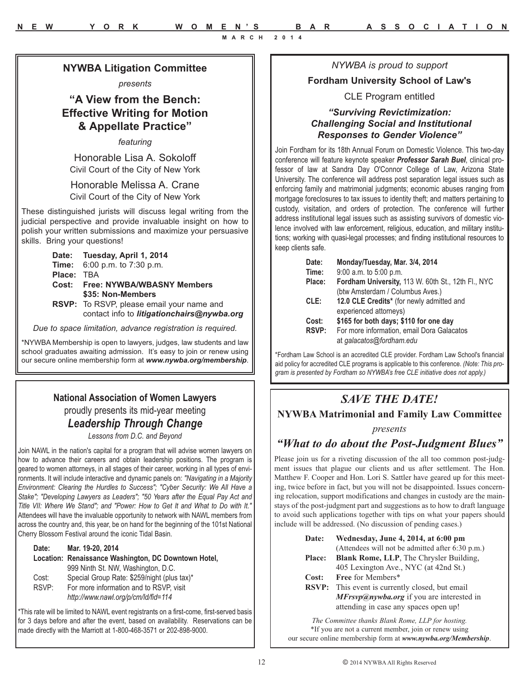*NYWBA is proud to support* 

### **Fordham University School of Law's**

#### CLE Program entitled

### *"Surviving Revictimization: Challenging Social and Institutional Responses to Gender Violence"*

Join Fordham for its 18th Annual Forum on Domestic Violence. This two-day conference will feature keynote speaker *Professor Sarah Buel*, clinical professor of law at Sandra Day O'Connor College of Law, Arizona State University. The conference will address post separation legal issues such as enforcing family and matrimonial judgments; economic abuses ranging from mortgage foreclosures to tax issues to identity theft; and matters pertaining to custody, visitation, and orders of protection. The conference will further address institutional legal issues such as assisting survivors of domestic violence involved with law enforcement, religious, education, and military institutions; working with quasi-legal processes; and finding institutional resources to keep clients safe.

| Date:        | Monday/Tuesday, Mar. 3/4, 2014                     |
|--------------|----------------------------------------------------|
| Time:        | 9:00 a.m. to 5:00 p.m.                             |
| Place:       | Fordham University, 113 W. 60th St., 12th Fl., NYC |
|              | (btw Amsterdam / Columbus Aves.)                   |
| CLE:         | 12.0 CLE Credits* (for newly admitted and          |
|              | experienced attorneys)                             |
| Cost:        | \$165 for both days; \$110 for one day             |
| <b>RSVP:</b> | For more information, email Dora Galacatos         |
|              | at galacatos@fordham.edu                           |

\*Fordham Law School is an accredited CLE provider. Fordham Law School's financial aid policy for accredited CLE programs is applicable to this conference. *(Note: This program is presented by Fordham so NYWBA's free CLE initiative does not apply.)*

# *SAVE THE DATE!*

**NYWBA Matrimonial and Family Law Committee** 

#### *presents*

### *"What to do about the Post-Judgment Blues"*

Please join us for a riveting discussion of the all too common post-judgment issues that plague our clients and us after settlement. The Hon. Matthew F. Cooper and Hon. Lori S. Sattler have geared up for this meeting, twice before in fact, but you will not be disappointed. Issues concerning relocation, support modifications and changes in custody are the mainstays of the post-judgment part and suggestions as to how to draft language to avoid such applications together with tips on what your papers should include will be addressed. (No discussion of pending cases.)

| <b>Date:</b>  | Wednesday, June 4, 2014, at 6:00 pm                    |
|---------------|--------------------------------------------------------|
|               | (Attendees will not be admitted after 6:30 p.m.)       |
| <b>Place:</b> | <b>Blank Rome, LLP</b> , The Chrysler Building,        |
|               | 405 Lexington Ave., NYC (at 42nd St.)                  |
| Cost:         | Free for Members*                                      |
|               | <b>RSVP:</b> This event is currently closed, but email |

**RSVP:** This event is currently closed, but email *MFrsvp@nywba.org* if you are interested in attending in case any spaces open up!

*The Committee thanks Blank Rome, LLP for hosting.* \*If you are not a current member, join or renew using our secure online membership form at *www.nywba.org/Membership*.

### **NYWBA Litigation Committee**

*presents*

### **"A View from the Bench: Effective Writing for Motion & Appellate Practice"**

*featuring*

Honorable Lisa A. Sokoloff Civil Court of the City of New York

Honorable Melissa A. Crane Civil Court of the City of New York

These distinguished jurists will discuss legal writing from the judicial perspective and provide invaluable insight on how to polish your written submissions and maximize your persuasive skills. Bring your questions!



contact info to *litigationchairs@nywba.org*

*Due to space limitation, advance registration is required.* 

\*NYWBA Membership is open to lawyers, judges, law students and law school graduates awaiting admission. It's easy to join or renew using our secure online membership form at *www.nywba.org/membership*.

### **National Association of Women Lawyers**  proudly presents its mid-year meeting

### *Leadership Through Change*

*Lessons from D.C. and Beyond*

Join NAWL in the nation's capital for a program that will advise women lawyers on how to advance their careers and obtain leadership positions. The program is geared to women attorneys, in all stages of their career, working in all types of environments. It will include interactive and dynamic panels on: *"Navigating in a Majority Environment: Clearing the Hurdles to Success"; "Cyber Security: We All Have a Stake"; "Developing Lawyers as Leaders"; "50 Years after the Equal Pay Act and Title VII: Where We Stand"; and "Power: How to Get It and What to Do with It."* Attendees will have the invaluable opportunity to network with NAWL members from across the country and, this year, be on hand for the beginning of the 101st National Cherry Blossom Festival around the iconic Tidal Basin.

**Date: Mar. 19-20, 2014 Location: Renaissance Washington, DC Downtown Hotel,**  999 Ninth St. NW, Washington, D.C. Cost: Special Group Rate: \$259/night (plus tax)\* RSVP: For more information and to RSVP, visit *http://www.nawl.org/p/cm/ld/fid=114*

\*This rate will be limited to NAWL event registrants on a first-come, first-served basis for 3 days before and after the event, based on availability. Reservations can be made directly with the Marriott at 1-800-468-3571 or 202-898-9000.